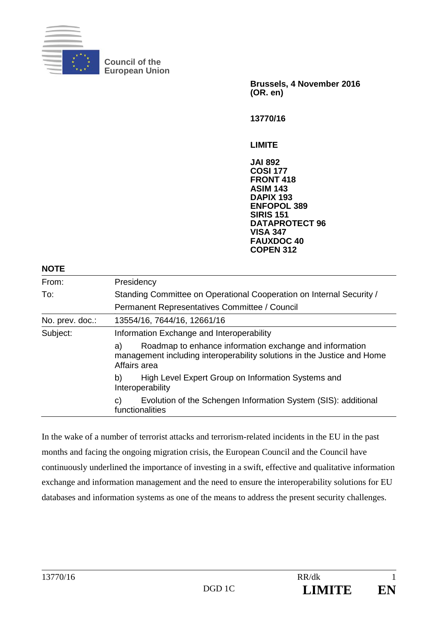

**Council of the European Union** 

> **Brussels, 4 November 2016 (OR. en)**

**13770/16** 

**LIMITE** 

**JAI 892 COSI 177 FRONT 418 ASIM 143 DAPIX 193 ENFOPOL 389 SIRIS 151 DATAPROTECT 96 VISA 347 FAUXDOC 40 COPEN 312**

## **NOTE**

| From:           | Presidency                                                                                                                                               |
|-----------------|----------------------------------------------------------------------------------------------------------------------------------------------------------|
| To:             | Standing Committee on Operational Cooperation on Internal Security /                                                                                     |
|                 | Permanent Representatives Committee / Council                                                                                                            |
| No. prev. doc.: | 13554/16, 7644/16, 12661/16                                                                                                                              |
| Subject:        | Information Exchange and Interoperability                                                                                                                |
|                 | Roadmap to enhance information exchange and information<br>a)<br>management including interoperability solutions in the Justice and Home<br>Affairs area |
|                 | High Level Expert Group on Information Systems and<br>b)<br>Interoperability                                                                             |
|                 | Evolution of the Schengen Information System (SIS): additional<br>C)<br>functionalities                                                                  |

In the wake of a number of terrorist attacks and terrorism-related incidents in the EU in the past months and facing the ongoing migration crisis, the European Council and the Council have continuously underlined the importance of investing in a swift, effective and qualitative information exchange and information management and the need to ensure the interoperability solutions for EU databases and information systems as one of the means to address the present security challenges.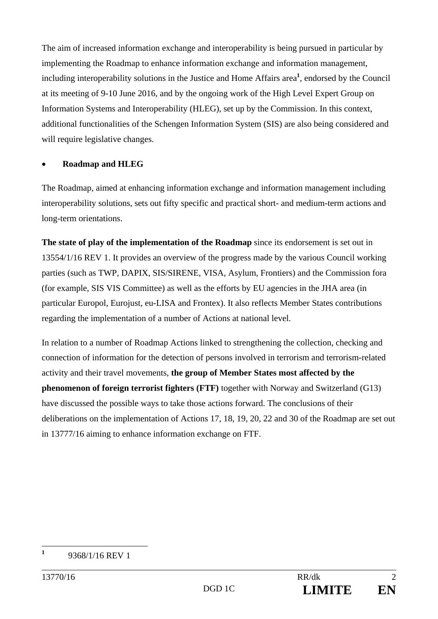The aim of increased information exchange and interoperability is being pursued in particular by implementing the Roadmap to enhance information exchange and information management, including interoperability solutions in the Justice and Home Affairs area**<sup>1</sup>** , endorsed by the Council at its meeting of 9-10 June 2016, and by the ongoing work of the High Level Expert Group on Information Systems and Interoperability (HLEG), set up by the Commission. In this context, additional functionalities of the Schengen Information System (SIS) are also being considered and will require legislative changes.

## **Roadmap and HLEG**

The Roadmap, aimed at enhancing information exchange and information management including interoperability solutions, sets out fifty specific and practical short- and medium-term actions and long-term orientations.

**The state of play of the implementation of the Roadmap** since its endorsement is set out in 13554/1/16 REV 1. It provides an overview of the progress made by the various Council working parties (such as TWP, DAPIX, SIS/SIRENE, VISA, Asylum, Frontiers) and the Commission fora (for example, SIS VIS Committee) as well as the efforts by EU agencies in the JHA area (in particular Europol, Eurojust, eu-LISA and Frontex). It also reflects Member States contributions regarding the implementation of a number of Actions at national level.

In relation to a number of Roadmap Actions linked to strengthening the collection, checking and connection of information for the detection of persons involved in terrorism and terrorism-related activity and their travel movements, **the group of Member States most affected by the phenomenon of foreign terrorist fighters (FTF)** together with Norway and Switzerland (G13) have discussed the possible ways to take those actions forward. The conclusions of their deliberations on the implementation of Actions 17, 18, 19, 20, 22 and 30 of the Roadmap are set out in 13777/16 aiming to enhance information exchange on FTF.

 **1** 9368/1/16 REV 1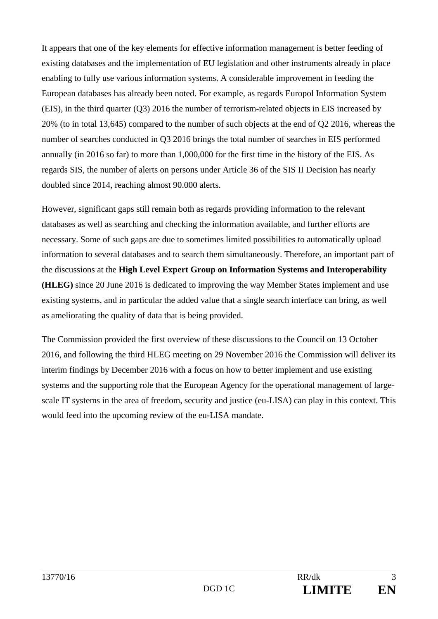It appears that one of the key elements for effective information management is better feeding of existing databases and the implementation of EU legislation and other instruments already in place enabling to fully use various information systems. A considerable improvement in feeding the European databases has already been noted. For example, as regards Europol Information System (EIS), in the third quarter (Q3) 2016 the number of terrorism-related objects in EIS increased by 20% (to in total 13,645) compared to the number of such objects at the end of Q2 2016, whereas the number of searches conducted in Q3 2016 brings the total number of searches in EIS performed annually (in 2016 so far) to more than 1,000,000 for the first time in the history of the EIS. As regards SIS, the number of alerts on persons under Article 36 of the SIS II Decision has nearly doubled since 2014, reaching almost 90.000 alerts.

However, significant gaps still remain both as regards providing information to the relevant databases as well as searching and checking the information available, and further efforts are necessary. Some of such gaps are due to sometimes limited possibilities to automatically upload information to several databases and to search them simultaneously. Therefore, an important part of the discussions at the **High Level Expert Group on Information Systems and Interoperability (HLEG)** since 20 June 2016 is dedicated to improving the way Member States implement and use existing systems, and in particular the added value that a single search interface can bring, as well as ameliorating the quality of data that is being provided.

The Commission provided the first overview of these discussions to the Council on 13 October 2016, and following the third HLEG meeting on 29 November 2016 the Commission will deliver its interim findings by December 2016 with a focus on how to better implement and use existing systems and the supporting role that the European Agency for the operational management of largescale IT systems in the area of freedom, security and justice (eu-LISA) can play in this context. This would feed into the upcoming review of the eu-LISA mandate.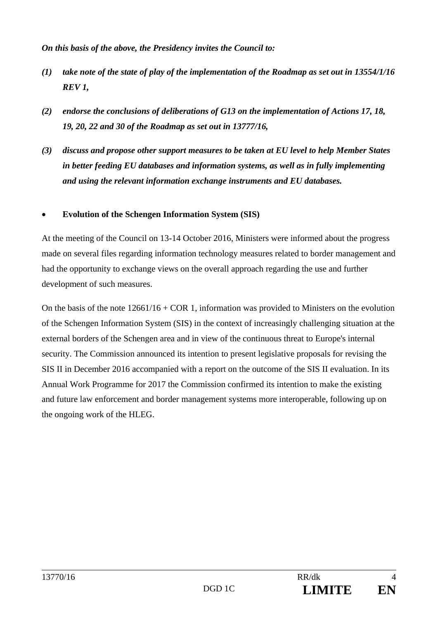*On this basis of the above, the Presidency invites the Council to:* 

- *(1) take note of the state of play of the implementation of the Roadmap as set out in 13554/1/16 REV 1,*
- *(2) endorse the conclusions of deliberations of G13 on the implementation of Actions 17, 18, 19, 20, 22 and 30 of the Roadmap as set out in 13777/16,*
- *(3) discuss and propose other support measures to be taken at EU level to help Member States in better feeding EU databases and information systems, as well as in fully implementing and using the relevant information exchange instruments and EU databases.*

## **Evolution of the Schengen Information System (SIS)**

At the meeting of the Council on 13-14 October 2016, Ministers were informed about the progress made on several files regarding information technology measures related to border management and had the opportunity to exchange views on the overall approach regarding the use and further development of such measures.

On the basis of the note  $12661/16 + COR$  1, information was provided to Ministers on the evolution of the Schengen Information System (SIS) in the context of increasingly challenging situation at the external borders of the Schengen area and in view of the continuous threat to Europe's internal security. The Commission announced its intention to present legislative proposals for revising the SIS II in December 2016 accompanied with a report on the outcome of the SIS II evaluation. In its Annual Work Programme for 2017 the Commission confirmed its intention to make the existing and future law enforcement and border management systems more interoperable, following up on the ongoing work of the HLEG.